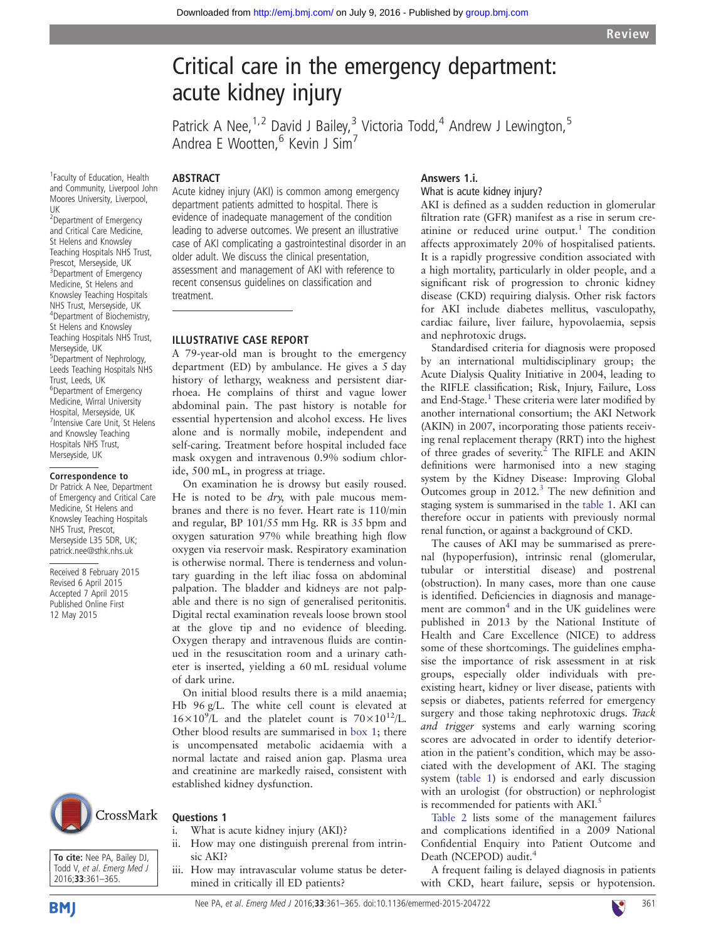# Critical care in the emergency department: acute kidney injury

Patrick A Nee,  $1.2$  David J Bailey, <sup>3</sup> Victoria Todd, <sup>4</sup> Andrew J Lewington, <sup>5</sup> Andrea E Wootten,<sup>6</sup> Kevin J Sim<sup>7</sup>

1 Faculty of Education, Health and Community, Liverpool John Moores University, Liverpool, UK

<sup>2</sup>Department of Emergency and Critical Care Medicine, St Helens and Knowsley Teaching Hospitals NHS Trust, Prescot, Merseyside, UK <sup>3</sup>Department of Emergency Medicine, St Helens and Knowsley Teaching Hospitals NHS Trust, Merseyside, UK 4 Department of Biochemistry, St Helens and Knowsley Teaching Hospitals NHS Trust, Merseyside, UK 5 Department of Nephrology, Leeds Teaching Hospitals NHS Trust, Leeds, UK 6 Department of Emergency Medicine, Wirral University Hospital, Merseyside, UK 7 Intensive Care Unit, St Helens and Knowsley Teaching Hospitals NHS Trust, Merseyside, UK

#### Correspondence to

Dr Patrick A Nee, Department of Emergency and Critical Care Medicine, St Helens and Knowsley Teaching Hospitals NHS Trust, Prescot, Merseyside L35 5DR, UK; patrick.nee@sthk.nhs.uk

Received 8 February 2015 Revised 6 April 2015 Accepted 7 April 2015 Published Online First 12 May 2015



To cite: Nee PA, Bailey DJ, Todd V, et al. Emerg Med J 2016;33:361–365.

### ABSTRACT

Acute kidney injury (AKI) is common among emergency department patients admitted to hospital. There is evidence of inadequate management of the condition leading to adverse outcomes. We present an illustrative case of AKI complicating a gastrointestinal disorder in an older adult. We discuss the clinical presentation, assessment and management of AKI with reference to recent consensus guidelines on classification and treatment.

## ILLUSTRATIVE CASE REPORT

A 79-year-old man is brought to the emergency department (ED) by ambulance. He gives a 5 day history of lethargy, weakness and persistent diarrhoea. He complains of thirst and vague lower abdominal pain. The past history is notable for essential hypertension and alcohol excess. He lives alone and is normally mobile, independent and self-caring. Treatment before hospital included face mask oxygen and intravenous 0.9% sodium chloride, 500 mL, in progress at triage.

On examination he is drowsy but easily roused. He is noted to be  $\frac{dy}{dx}$ , with pale mucous membranes and there is no fever. Heart rate is 110/min and regular, BP 101/55 mm Hg. RR is 35 bpm and oxygen saturation 97% while breathing high flow oxygen via reservoir mask. Respiratory examination is otherwise normal. There is tenderness and voluntary guarding in the left iliac fossa on abdominal palpation. The bladder and kidneys are not palpable and there is no sign of generalised peritonitis. Digital rectal examination reveals loose brown stool at the glove tip and no evidence of bleeding. Oxygen therapy and intravenous fluids are continued in the resuscitation room and a urinary catheter is inserted, yielding a 60 mL residual volume of dark urine.

On initial blood results there is a mild anaemia; Hb 96 g/L. The white cell count is elevated at  $16 \times 10^{9}$ /L and the platelet count is  $70 \times 10^{12}$ /L. Other blood results are summarised in [box 1](#page-1-0); there is uncompensated metabolic acidaemia with a normal lactate and raised anion gap. Plasma urea and creatinine are markedly raised, consistent with established kidney dysfunction.

- Questions 1 i. What is acute kidney injury (AKI)?
- ii. How may one distinguish prerenal from intrinsic AKI?
- iii. How may intravascular volume status be determined in critically ill ED patients?

### Answers 1.i.

#### What is acute kidney injury?

AKI is defined as a sudden reduction in glomerular filtration rate (GFR) manifest as a rise in serum cre-atinine or reduced urine output.<sup>[1](#page-4-0)</sup> The condition affects approximately 20% of hospitalised patients. It is a rapidly progressive condition associated with a high mortality, particularly in older people, and a significant risk of progression to chronic kidney disease (CKD) requiring dialysis. Other risk factors for AKI include diabetes mellitus, vasculopathy, cardiac failure, liver failure, hypovolaemia, sepsis and nephrotoxic drugs.

Standardised criteria for diagnosis were proposed by an international multidisciplinary group; the Acute Dialysis Quality Initiative in 2004, leading to the RIFLE classification; Risk, Injury, Failure, Loss and End-Stage.<sup>1</sup> These criteria were later modified by another international consortium; the AKI Network (AKIN) in 2007, incorporating those patients receiving renal replacement therapy (RRT) into the highest of three grades of severity.<sup>2</sup> The RIFLE and AKIN definitions were harmonised into a new staging system by the Kidney Disease: Improving Global Outcomes group in  $2012<sup>3</sup>$ . The new definition and staging system is summarised in the [table 1](#page-1-0). AKI can therefore occur in patients with previously normal renal function, or against a background of CKD.

The causes of AKI may be summarised as prerenal (hypoperfusion), intrinsic renal (glomerular, tubular or interstitial disease) and postrenal (obstruction). In many cases, more than one cause is identified. Deficiencies in diagnosis and management are common $4$  and in the UK guidelines were published in 2013 by the National Institute of Health and Care Excellence (NICE) to address some of these shortcomings. The guidelines emphasise the importance of risk assessment in at risk groups, especially older individuals with preexisting heart, kidney or liver disease, patients with sepsis or diabetes, patients referred for emergency surgery and those taking nephrotoxic drugs. Track and trigger systems and early warning scoring scores are advocated in order to identify deterioration in the patient's condition, which may be associated with the development of AKI. The staging system ([table 1\)](#page-1-0) is endorsed and early discussion with an urologist (for obstruction) or nephrologist is recommended for patients with AKI.<sup>5</sup>

[Table 2](#page-1-0) lists some of the management failures and complications identified in a 2009 National Confidential Enquiry into Patient Outcome and Death (NCEPOD) audit.<sup>4</sup>

A frequent failing is delayed diagnosis in patients with CKD, heart failure, sepsis or hypotension.

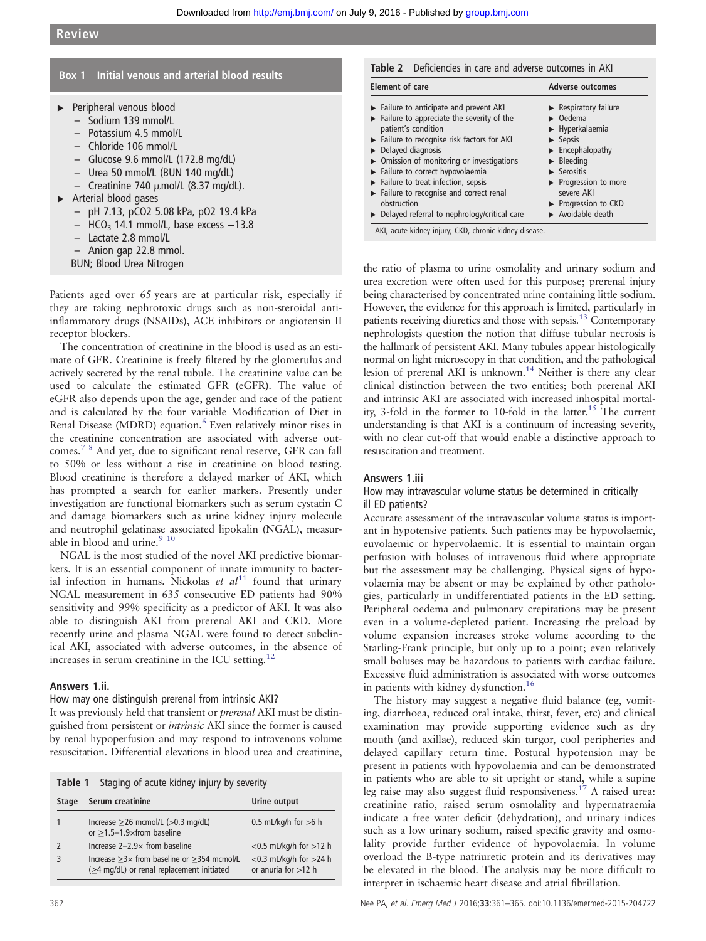## <span id="page-1-0"></span>Box 1 Initial venous and arterial blood results

- ▸ Peripheral venous blood
	- Sodium 139 mmol/L
	- Potassium 4.5 mmol/L
	- Chloride 106 mmol/L
	- Glucose 9.6 mmol/L (172.8 mg/dL)
	- Urea 50 mmol/L (BUN 140 mg/dL)
	- Creatinine 740  $\mu$ mol/L (8.37 mg/dL).
- ▸ Arterial blood gases
	- pH 7.13, pCO2 5.08 kPa, pO2 19.4 kPa
	- $HCO<sub>3</sub>$  14.1 mmol/L, base excess  $-13.8$
	- Lactate 2.8 mmol/L
	- Anion gap 22.8 mmol.
	- BUN; Blood Urea Nitrogen

Patients aged over 65 years are at particular risk, especially if they are taking nephrotoxic drugs such as non-steroidal antiinflammatory drugs (NSAIDs), ACE inhibitors or angiotensin II receptor blockers.

The concentration of creatinine in the blood is used as an estimate of GFR. Creatinine is freely filtered by the glomerulus and actively secreted by the renal tubule. The creatinine value can be used to calculate the estimated GFR (eGFR). The value of eGFR also depends upon the age, gender and race of the patient and is calculated by the four variable Modification of Diet in Renal Disease (MDRD) equation.<sup>6</sup> Even relatively minor rises in the creatinine concentration are associated with adverse outcomes.[7 8](#page-4-0) And yet, due to significant renal reserve, GFR can fall to 50% or less without a rise in creatinine on blood testing. Blood creatinine is therefore a delayed marker of AKI, which has prompted a search for earlier markers. Presently under investigation are functional biomarkers such as serum cystatin C and damage biomarkers such as urine kidney injury molecule and neutrophil gelatinase associated lipokalin (NGAL), measurable in blood and urine.<sup>9</sup> <sup>10</sup>

NGAL is the most studied of the novel AKI predictive biomarkers. It is an essential component of innate immunity to bacterial infection in humans. Nickolas et  $al^{11}$  $al^{11}$  $al^{11}$  found that urinary NGAL measurement in 635 consecutive ED patients had 90% sensitivity and 99% specificity as a predictor of AKI. It was also able to distinguish AKI from prerenal AKI and CKD. More recently urine and plasma NGAL were found to detect subclinical AKI, associated with adverse outcomes, in the absence of increases in serum creatinine in the ICU setting.<sup>1</sup>

#### Answers 1.ii.

#### How may one distinguish prerenal from intrinsic AKI?

It was previously held that transient or prerenal AKI must be distinguished from persistent or intrinsic AKI since the former is caused by renal hypoperfusion and may respond to intravenous volume resuscitation. Differential elevations in blood urea and creatinine,

| Staging of acute kidney injury by severity<br>Table 1 |                                                                                                     |                                                       |  |  |
|-------------------------------------------------------|-----------------------------------------------------------------------------------------------------|-------------------------------------------------------|--|--|
| <b>Stage</b>                                          | Serum creatinine                                                                                    | Urine output                                          |  |  |
|                                                       | Increase $\geq$ 26 mcmol/L ( $>$ 0.3 mg/dL)<br>or $\geq$ 1.5-1.9×from baseline                      | 0.5 mL/kg/h for $>6$ h                                |  |  |
| $\mathcal{L}$                                         | Increase $2-2.9x$ from baseline                                                                     | $<$ 0.5 mL/kg/h for $>$ 12 h                          |  |  |
| 3                                                     | Increase $\geq$ 3x from baseline or $\geq$ 354 mcmol/L<br>(≥4 mg/dL) or renal replacement initiated | $<$ 0.3 mL/kg/h for $>$ 24 h<br>or anuria for $>12$ h |  |  |

| <b>Table 2</b> Deficiencies in care and adverse outcomes in AKI                                                                                                                                                                                                                                                                                                                                                                                                                                               |                                                                                                                                                                                                                                                                                                                                   |  |
|---------------------------------------------------------------------------------------------------------------------------------------------------------------------------------------------------------------------------------------------------------------------------------------------------------------------------------------------------------------------------------------------------------------------------------------------------------------------------------------------------------------|-----------------------------------------------------------------------------------------------------------------------------------------------------------------------------------------------------------------------------------------------------------------------------------------------------------------------------------|--|
| <b>Element of care</b>                                                                                                                                                                                                                                                                                                                                                                                                                                                                                        | <b>Adverse outcomes</b>                                                                                                                                                                                                                                                                                                           |  |
| Failure to anticipate and prevent AKI<br>$\blacktriangleright$ Failure to appreciate the severity of the<br>patient's condition<br>Failure to recognise risk factors for AKI<br>$\blacktriangleright$ Delayed diagnosis<br>$\triangleright$ Omission of monitoring or investigations<br>Failure to correct hypovolaemia<br>$\blacktriangleright$ Failure to treat infection, sepsis<br>Failure to recognise and correct renal<br>obstruction<br>$\triangleright$ Delayed referral to nephrology/critical care | $\triangleright$ Respiratory failure<br>$\triangleright$ Oedema<br>$\blacktriangleright$ Hyperkalaemia<br>$\blacktriangleright$ Sepsis<br>$\blacktriangleright$ Encephalopathy<br>$\blacktriangleright$ Bleeding<br>$\blacktriangleright$ Serositis<br>Progression to more<br>severe AKI<br>Progression to CKD<br>Avoidable death |  |

AKI, acute kidney injury; CKD, chronic kidney disease.

the ratio of plasma to urine osmolality and urinary sodium and urea excretion were often used for this purpose; prerenal injury being characterised by concentrated urine containing little sodium. However, the evidence for this approach is limited, particularly in patients receiving diuretics and those with sepsis.<sup>[13](#page-4-0)</sup> Contemporary nephrologists question the notion that diffuse tubular necrosis is the hallmark of persistent AKI. Many tubules appear histologically normal on light microscopy in that condition, and the pathological lesion of prerenal AKI is unknown.<sup>14</sup> Neither is there any clear clinical distinction between the two entities; both prerenal AKI and intrinsic AKI are associated with increased inhospital mortality, 3-fold in the former to 10-fold in the latter.<sup>15</sup> The current understanding is that AKI is a continuum of increasing severity, with no clear cut-off that would enable a distinctive approach to resuscitation and treatment.

#### Answers 1.iii

#### How may intravascular volume status be determined in critically ill ED patients?

Accurate assessment of the intravascular volume status is important in hypotensive patients. Such patients may be hypovolaemic, euvolaemic or hypervolaemic. It is essential to maintain organ perfusion with boluses of intravenous fluid where appropriate but the assessment may be challenging. Physical signs of hypovolaemia may be absent or may be explained by other pathologies, particularly in undifferentiated patients in the ED setting. Peripheral oedema and pulmonary crepitations may be present even in a volume-depleted patient. Increasing the preload by volume expansion increases stroke volume according to the Starling-Frank principle, but only up to a point; even relatively small boluses may be hazardous to patients with cardiac failure. Excessive fluid administration is associated with worse outcomes in patients with kidney dysfunction.<sup>[16](#page-4-0)</sup>

The history may suggest a negative fluid balance (eg, vomiting, diarrhoea, reduced oral intake, thirst, fever, etc) and clinical examination may provide supporting evidence such as dry mouth (and axillae), reduced skin turgor, cool peripheries and delayed capillary return time. Postural hypotension may be present in patients with hypovolaemia and can be demonstrated in patients who are able to sit upright or stand, while a supine leg raise may also suggest fluid responsiveness.[17](#page-4-0) A raised urea: creatinine ratio, raised serum osmolality and hypernatraemia indicate a free water deficit (dehydration), and urinary indices such as a low urinary sodium, raised specific gravity and osmolality provide further evidence of hypovolaemia. In volume overload the B-type natriuretic protein and its derivatives may be elevated in the blood. The analysis may be more difficult to interpret in ischaemic heart disease and atrial fibrillation.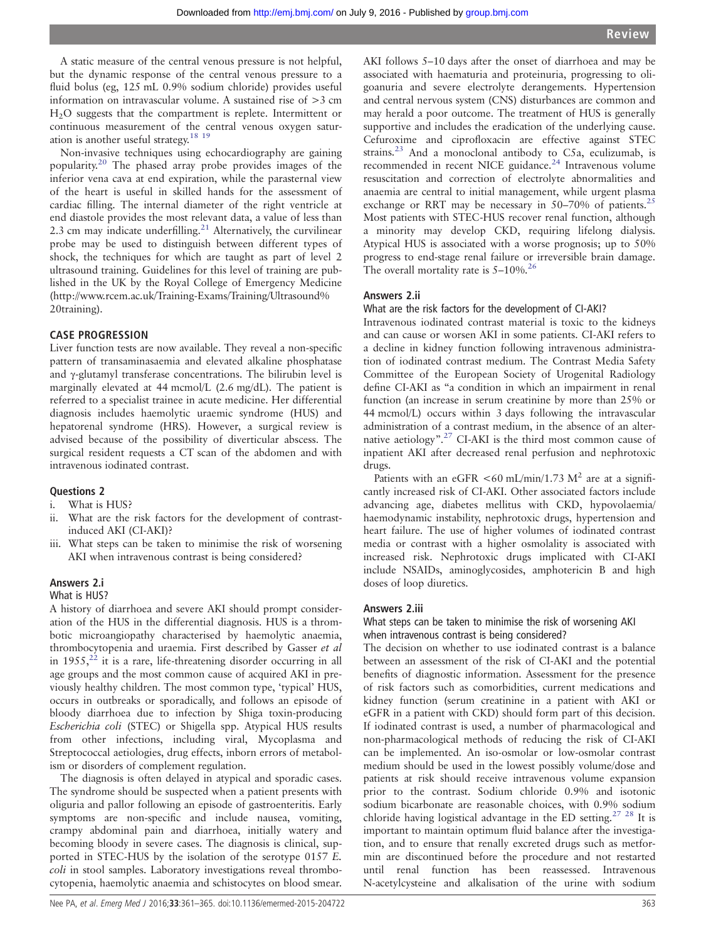A static measure of the central venous pressure is not helpful, but the dynamic response of the central venous pressure to a fluid bolus (eg, 125 mL 0.9% sodium chloride) provides useful information on intravascular volume. A sustained rise of >3 cm H2O suggests that the compartment is replete. Intermittent or continuous measurement of the central venous oxygen saturation is another useful strategy.[18 19](#page-4-0)

Non-invasive techniques using echocardiography are gaining popularity.[20](#page-4-0) The phased array probe provides images of the inferior vena cava at end expiration, while the parasternal view of the heart is useful in skilled hands for the assessment of cardiac filling. The internal diameter of the right ventricle at end diastole provides the most relevant data, a value of less than 2.3 cm may indicate underfilling. $21$  Alternatively, the curvilinear probe may be used to distinguish between different types of shock, the techniques for which are taught as part of level 2 ultrasound training. Guidelines for this level of training are published in the UK by the Royal College of Emergency Medicine ([http://www.rcem.ac.uk/Training-Exams/Training/Ultrasound%](http://www.rcem.ac.uk/Training-Exams/Training/Ultrasound%20training) [20training](http://www.rcem.ac.uk/Training-Exams/Training/Ultrasound%20training)).

### CASE PROGRESSION

Liver function tests are now available. They reveal a non-specific pattern of transaminasaemia and elevated alkaline phosphatase and γ-glutamyl transferase concentrations. The bilirubin level is marginally elevated at 44 mcmol/L (2.6 mg/dL). The patient is referred to a specialist trainee in acute medicine. Her differential diagnosis includes haemolytic uraemic syndrome (HUS) and hepatorenal syndrome (HRS). However, a surgical review is advised because of the possibility of diverticular abscess. The surgical resident requests a CT scan of the abdomen and with intravenous iodinated contrast.

### Questions 2

- i. What is HUS?
- ii. What are the risk factors for the development of contrastinduced AKI (CI-AKI)?
- iii. What steps can be taken to minimise the risk of worsening AKI when intravenous contrast is being considered?

### Answers 2.i

### What is HUS?

A history of diarrhoea and severe AKI should prompt consideration of the HUS in the differential diagnosis. HUS is a thrombotic microangiopathy characterised by haemolytic anaemia, thrombocytopenia and uraemia. First described by Gasser et al in  $1955$ <sup>22</sup>, it is a rare, life-threatening disorder occurring in all age groups and the most common cause of acquired AKI in previously healthy children. The most common type, 'typical' HUS, occurs in outbreaks or sporadically, and follows an episode of bloody diarrhoea due to infection by Shiga toxin-producing Escherichia coli (STEC) or Shigella spp. Atypical HUS results from other infections, including viral, Mycoplasma and Streptococcal aetiologies, drug effects, inborn errors of metabolism or disorders of complement regulation.

The diagnosis is often delayed in atypical and sporadic cases. The syndrome should be suspected when a patient presents with oliguria and pallor following an episode of gastroenteritis. Early symptoms are non-specific and include nausea, vomiting, crampy abdominal pain and diarrhoea, initially watery and becoming bloody in severe cases. The diagnosis is clinical, supported in STEC-HUS by the isolation of the serotype 0157 E. coli in stool samples. Laboratory investigations reveal thrombocytopenia, haemolytic anaemia and schistocytes on blood smear. AKI follows 5–10 days after the onset of diarrhoea and may be associated with haematuria and proteinuria, progressing to oligoanuria and severe electrolyte derangements. Hypertension and central nervous system (CNS) disturbances are common and may herald a poor outcome. The treatment of HUS is generally supportive and includes the eradication of the underlying cause. Cefuroxime and ciprofloxacin are effective against STEC strains.[23](#page-4-0) And a monoclonal antibody to C5a, eculizumab, is recommended in recent NICE guidance.<sup>[24](#page-4-0)</sup> Intravenous volume resuscitation and correction of electrolyte abnormalities and anaemia are central to initial management, while urgent plasma exchange or RRT may be necessary in  $50-70\%$  of patients.<sup>[25](#page-4-0)</sup> Most patients with STEC-HUS recover renal function, although a minority may develop CKD, requiring lifelong dialysis. Atypical HUS is associated with a worse prognosis; up to 50% progress to end-stage renal failure or irreversible brain damage. The overall mortality rate is  $5-10\%$ .<sup>26</sup>

### Answers 2.ii

### What are the risk factors for the development of CI-AKI?

Intravenous iodinated contrast material is toxic to the kidneys and can cause or worsen AKI in some patients. CI-AKI refers to a decline in kidney function following intravenous administration of iodinated contrast medium. The Contrast Media Safety Committee of the European Society of Urogenital Radiology define CI-AKI as "a condition in which an impairment in renal function (an increase in serum creatinine by more than 25% or 44 mcmol/L) occurs within 3 days following the intravascular administration of a contrast medium, in the absence of an alter-native aetiology".<sup>[27](#page-4-0)</sup> CI-AKI is the third most common cause of inpatient AKI after decreased renal perfusion and nephrotoxic drugs.

Patients with an eGFR <60 mL/min/1.73  $M^2$  are at a significantly increased risk of CI-AKI. Other associated factors include advancing age, diabetes mellitus with CKD, hypovolaemia/ haemodynamic instability, nephrotoxic drugs, hypertension and heart failure. The use of higher volumes of iodinated contrast media or contrast with a higher osmolality is associated with increased risk. Nephrotoxic drugs implicated with CI-AKI include NSAIDs, aminoglycosides, amphotericin B and high doses of loop diuretics.

### Answers 2.iii

#### What steps can be taken to minimise the risk of worsening AKI when intravenous contrast is being considered?

The decision on whether to use iodinated contrast is a balance between an assessment of the risk of CI-AKI and the potential benefits of diagnostic information. Assessment for the presence of risk factors such as comorbidities, current medications and kidney function (serum creatinine in a patient with AKI or eGFR in a patient with CKD) should form part of this decision. If iodinated contrast is used, a number of pharmacological and non-pharmacological methods of reducing the risk of CI-AKI can be implemented. An iso-osmolar or low-osmolar contrast medium should be used in the lowest possibly volume/dose and patients at risk should receive intravenous volume expansion prior to the contrast. Sodium chloride 0.9% and isotonic sodium bicarbonate are reasonable choices, with 0.9% sodium chloride having logistical advantage in the ED setting.[27 28](#page-4-0) It is important to maintain optimum fluid balance after the investigation, and to ensure that renally excreted drugs such as metformin are discontinued before the procedure and not restarted until renal function has been reassessed. Intravenous N-acetylcysteine and alkalisation of the urine with sodium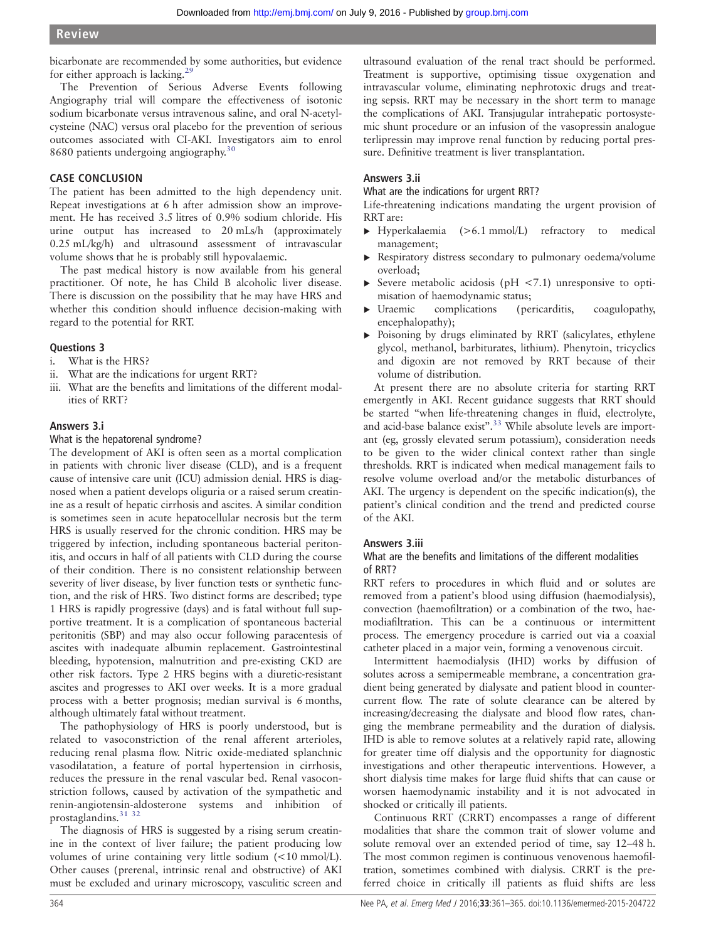bicarbonate are recommended by some authorities, but evidence for either approach is lacking.[29](#page-4-0)

The Prevention of Serious Adverse Events following Angiography trial will compare the effectiveness of isotonic sodium bicarbonate versus intravenous saline, and oral N-acetylcysteine (NAC) versus oral placebo for the prevention of serious outcomes associated with CI-AKI. Investigators aim to enrol 8680 patients undergoing angiography.[30](#page-4-0)

## CASE CONCLUSION

The patient has been admitted to the high dependency unit. Repeat investigations at 6 h after admission show an improvement. He has received 3.5 litres of 0.9% sodium chloride. His urine output has increased to 20 mLs/h (approximately 0.25 mL/kg/h) and ultrasound assessment of intravascular volume shows that he is probably still hypovalaemic.

The past medical history is now available from his general practitioner. Of note, he has Child B alcoholic liver disease. There is discussion on the possibility that he may have HRS and whether this condition should influence decision-making with regard to the potential for RRT.

## Questions 3

- i. What is the HRS?
- ii. What are the indications for urgent RRT?
- iii. What are the benefits and limitations of the different modalities of RRT?

### Answers 3.i

### What is the hepatorenal syndrome?

The development of AKI is often seen as a mortal complication in patients with chronic liver disease (CLD), and is a frequent cause of intensive care unit (ICU) admission denial. HRS is diagnosed when a patient develops oliguria or a raised serum creatinine as a result of hepatic cirrhosis and ascites. A similar condition is sometimes seen in acute hepatocellular necrosis but the term HRS is usually reserved for the chronic condition. HRS may be triggered by infection, including spontaneous bacterial peritonitis, and occurs in half of all patients with CLD during the course of their condition. There is no consistent relationship between severity of liver disease, by liver function tests or synthetic function, and the risk of HRS. Two distinct forms are described; type 1 HRS is rapidly progressive (days) and is fatal without full supportive treatment. It is a complication of spontaneous bacterial peritonitis (SBP) and may also occur following paracentesis of ascites with inadequate albumin replacement. Gastrointestinal bleeding, hypotension, malnutrition and pre-existing CKD are other risk factors. Type 2 HRS begins with a diuretic-resistant ascites and progresses to AKI over weeks. It is a more gradual process with a better prognosis; median survival is 6 months, although ultimately fatal without treatment.

The pathophysiology of HRS is poorly understood, but is related to vasoconstriction of the renal afferent arterioles, reducing renal plasma flow. Nitric oxide-mediated splanchnic vasodilatation, a feature of portal hypertension in cirrhosis, reduces the pressure in the renal vascular bed. Renal vasoconstriction follows, caused by activation of the sympathetic and renin-angiotensin-aldosterone systems and inhibition of prostaglandins.<sup>31</sup> 32

The diagnosis of HRS is suggested by a rising serum creatinine in the context of liver failure; the patient producing low volumes of urine containing very little sodium (<10 mmol/L). Other causes (prerenal, intrinsic renal and obstructive) of AKI must be excluded and urinary microscopy, vasculitic screen and

ultrasound evaluation of the renal tract should be performed. Treatment is supportive, optimising tissue oxygenation and intravascular volume, eliminating nephrotoxic drugs and treating sepsis. RRT may be necessary in the short term to manage the complications of AKI. Transjugular intrahepatic portosystemic shunt procedure or an infusion of the vasopressin analogue terlipressin may improve renal function by reducing portal pressure. Definitive treatment is liver transplantation.

## Answers 3.ii

What are the indications for urgent RRT?

Life-threatening indications mandating the urgent provision of RRT are:

- ▸ Hyperkalaemia (>6.1 mmol/L) refractory to medical management;
- ▶ Respiratory distress secondary to pulmonary oedema/volume overload;
- ▸ Severe metabolic acidosis (pH <7.1) unresponsive to optimisation of haemodynamic status;
- ▸ Uraemic complications (pericarditis, coagulopathy, encephalopathy);
- ▸ Poisoning by drugs eliminated by RRT (salicylates, ethylene glycol, methanol, barbiturates, lithium). Phenytoin, tricyclics and digoxin are not removed by RRT because of their volume of distribution.

At present there are no absolute criteria for starting RRT emergently in AKI. Recent guidance suggests that RRT should be started "when life-threatening changes in fluid, electrolyte, and acid-base balance exist". [33](#page-4-0) While absolute levels are important (eg, grossly elevated serum potassium), consideration needs to be given to the wider clinical context rather than single thresholds. RRT is indicated when medical management fails to resolve volume overload and/or the metabolic disturbances of AKI. The urgency is dependent on the specific indication(s), the patient's clinical condition and the trend and predicted course of the AKI.

### Answers 3.iii

## What are the benefits and limitations of the different modalities of RRT?

RRT refers to procedures in which fluid and or solutes are removed from a patient's blood using diffusion (haemodialysis), convection (haemofiltration) or a combination of the two, haemodiafiltration. This can be a continuous or intermittent process. The emergency procedure is carried out via a coaxial catheter placed in a major vein, forming a venovenous circuit.

Intermittent haemodialysis (IHD) works by diffusion of solutes across a semipermeable membrane, a concentration gradient being generated by dialysate and patient blood in countercurrent flow. The rate of solute clearance can be altered by increasing/decreasing the dialysate and blood flow rates, changing the membrane permeability and the duration of dialysis. IHD is able to remove solutes at a relatively rapid rate, allowing for greater time off dialysis and the opportunity for diagnostic investigations and other therapeutic interventions. However, a short dialysis time makes for large fluid shifts that can cause or worsen haemodynamic instability and it is not advocated in shocked or critically ill patients.

Continuous RRT (CRRT) encompasses a range of different modalities that share the common trait of slower volume and solute removal over an extended period of time, say 12–48 h. The most common regimen is continuous venovenous haemofiltration, sometimes combined with dialysis. CRRT is the preferred choice in critically ill patients as fluid shifts are less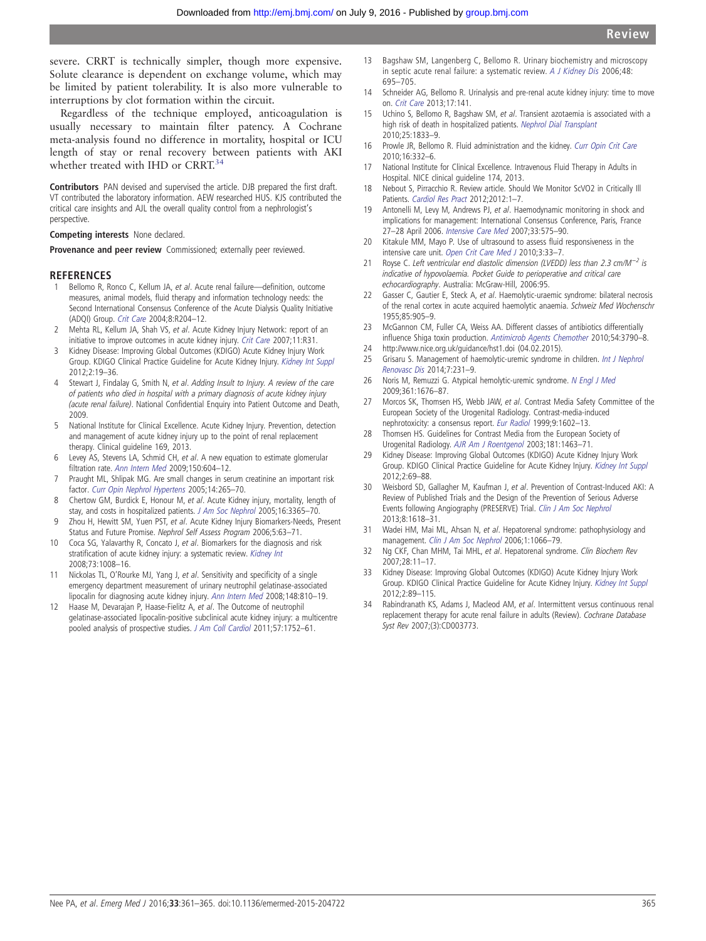<span id="page-4-0"></span>severe. CRRT is technically simpler, though more expensive. Solute clearance is dependent on exchange volume, which may be limited by patient tolerability. It is also more vulnerable to interruptions by clot formation within the circuit.

Regardless of the technique employed, anticoagulation is usually necessary to maintain filter patency. A Cochrane meta-analysis found no difference in mortality, hospital or ICU length of stay or renal recovery between patients with AKI whether treated with IHD or CRRT.<sup>34</sup>

Contributors PAN devised and supervised the article. DJB prepared the first draft. VT contributed the laboratory information. AEW researched HUS. KJS contributed the critical care insights and AJL the overall quality control from a nephrologist's perspective.

Competing interests None declared.

Provenance and peer review Commissioned; externally peer reviewed.

#### **REFERENCES**

- 1 Bellomo R, Ronco C, Kellum JA, et al. Acute renal failure-definition, outcome measures, animal models, fluid therapy and information technology needs: the Second International Consensus Conference of the Acute Dialysis Quality Initiative (ADQI) Group. [Crit Care](http://dx.doi.org/10.1186/cc2872) 2004;8:R204–12.
- 2 Mehta RL, Kellum JA, Shah VS, et al. Acute Kidney Injury Network: report of an initiative to improve outcomes in acute kidney injury. [Crit Care](http://dx.doi.org/10.1186/cc5713) 2007;11:R31.
- 3 Kidney Disease: Improving Global Outcomes (KDIGO) Acute Kidney Injury Work Group. KDIGO Clinical Practice Guideline for Acute Kidney Injury. [Kidney Int Suppl](http://dx.doi.org/10.1038/kisup.2011.32) 2012;2:19–36.
- 4 Stewart J, Findalay G, Smith N, et al. Adding Insult to Injury. A review of the care of patients who died in hospital with a primary diagnosis of acute kidney injury (acute renal failure). National Confidential Enquiry into Patient Outcome and Death, 2009.
- 5 National Institute for Clinical Excellence. Acute Kidney Injury. Prevention, detection and management of acute kidney injury up to the point of renal replacement therapy. Clinical guideline 169, 2013.
- 6 Levey AS, Stevens LA, Schmid CH, et al. A new equation to estimate glomerular filtration rate. [Ann Intern Med](http://dx.doi.org/10.7326/0003-4819-150-9-200905050-00006) 2009;150:604–12.
- 7 Praught ML, Shlipak MG. Are small changes in serum creatinine an important risk factor. [Curr Opin Nephrol Hypertens](http://dx.doi.org/10.1097/01.mnh.0000165894.90748.72) 2005;14:265–70.
- 8 Chertow GM, Burdick E, Honour M, et al. Acute Kidney injury, mortality, length of stay, and costs in hospitalized patients. [J Am Soc Nephrol](http://dx.doi.org/10.1681/ASN.2004090740) 2005;16:3365–70.
- 9 Zhou H, Hewitt SM, Yuen PST, et al. Acute Kidney Injury Biomarkers-Needs, Present Status and Future Promise. Nephrol Self Assess Program 2006;5:63–71.
- 10 Coca SG, Yalavarthy R, Concato J, et al. Biomarkers for the diagnosis and risk stratification of acute kidney injury: a systematic review. [Kidney Int](http://dx.doi.org/10.1038/sj.ki.5002729) 2008;73:1008–16.
- 11 Nickolas TL, O'Rourke MJ, Yang J, et al. Sensitivity and specificity of a single emergency department measurement of urinary neutrophil gelatinase-associated lipocalin for diagnosing acute kidney injury. [Ann Intern Med](http://dx.doi.org/10.7326/0003-4819-148-11-200806030-00003) 2008;148:810–19.
- 12 Haase M, Devarajan P, Haase-Fielitz A, et al. The Outcome of neutrophil gelatinase-associated lipocalin-positive subclinical acute kidney injury: a multicentre pooled analysis of prospective studies. [J Am Coll Cardiol](http://dx.doi.org/10.1016/j.jacc.2010.11.051) 2011;57:1752–61.
- 13 Bagshaw SM, Langenberg C, Bellomo R. Urinary biochemistry and microscopy in septic acute renal failure: a systematic review. [A J Kidney Dis](http://dx.doi.org/10.1053/j.ajkd.2006.07.017) 2006;48: 695–705.
- 14 Schneider AG, Bellomo R. Urinalysis and pre-renal acute kidney injury: time to move on. [Crit Care](http://dx.doi.org/10.1186/cc12676) 2013;17:141.
- 15 Uchino S, Bellomo R, Bagshaw SM, et al. Transient azotaemia is associated with a high risk of death in hospitalized patients. [Nephrol Dial Transplant](http://dx.doi.org/10.1093/ndt/gfp624) 2010;25:1833–9.
- 16 Prowle JR, Bellomo R. Fluid administration and the kidney. [Curr Opin Crit Care](http://dx.doi.org/10.1097/MCC.0b013e32833be90b) 2010;16:332–6.
- 17 National Institute for Clinical Excellence. Intravenous Fluid Therapy in Adults in Hospital. NICE clinical guideline 174, 2013.
- 18 Nebout S, Pirracchio R. Review article. Should We Monitor ScVO2 in Critically Ill Patients. [Cardiol Res Pract](http://dx.doi.org/10.1155/2012/370697) 2012;2012:1-7.
- 19 Antonelli M, Levy M, Andrews PJ, et al. Haemodynamic monitoring in shock and implications for management: International Consensus Conference, Paris, France 27–28 April 2006. [Intensive Care Med](http://dx.doi.org/10.1007/s00134-007-0531-4) 2007;33:575–90.
- 20 Kitakule MM, Mayo P. Use of ultrasound to assess fluid responsiveness in the intensive care unit. [Open Crit Care Med J](http://dx.doi.org/10.2174/1874828701003020033) 2010;3:33–7.
- 21 Royse C. Left ventricular end diastolic dimension (LVEDD) less than 2.3 cm/M<sup>-2</sup> is indicative of hypovolaemia. Pocket Guide to perioperative and critical care echocardiography. Australia: McGraw-Hill, 2006:95.
- 22 Gasser C, Gautier E, Steck A, et al. Haemolytic-uraemic syndrome: bilateral necrosis of the renal cortex in acute acquired haemolytic anaemia. Schweiz Med Wochenschr 1955;85:905–9.
- 23 McGannon CM, Fuller CA, Weiss AA. Different classes of antibiotics differentially influence Shiga toxin production. [Antimicrob Agents Chemother](http://dx.doi.org/10.1128/AAC.01783-09) 2010;54:3790–8.
- 24<http://www.nice.org.uk/guidance/hst1.doi> (04.02.2015). 25 Grisaru S. Management of haemolytic-uremic syndrome in children. [Int J Nephrol](http://dx.doi.org/10.2147/IJNRD.S41837)
- [Renovasc Dis](http://dx.doi.org/10.2147/IJNRD.S41837) 2014;7:231–9.
- 26 Noris M, Remuzzi G. Atypical hemolytic-uremic syndrome. [N Engl J Med](http://dx.doi.org/10.1056/NEJMra0902814) 2009;361:1676–87.
- 27 Morcos SK, Thomsen HS, Webb JAW, et al. Contrast Media Safety Committee of the European Society of the Urogenital Radiology. Contrast-media-induced nephrotoxicity: a consensus report. [Eur Radiol](http://dx.doi.org/10.1007/s003300050894) 1999;9:1602–13.
- 28 Thomsen HS. Guidelines for Contrast Media from the European Society of Urogenital Radiology. [AJR Am J Roentgenol](http://dx.doi.org/10.2214/ajr.181.6.1811463) 2003;181:1463–71.
- 29 Kidney Disease: Improving Global Outcomes (KDIGO) Acute Kidney Injury Work Group. KDIGO Clinical Practice Guideline for Acute Kidney Injury. [Kidney Int Suppl](http://dx.doi.org/10.1038/kisup.2011.34) 2012;2:69–88.
- 30 Weisbord SD, Gallagher M, Kaufman J, et al. Prevention of Contrast-Induced AKI: A Review of Published Trials and the Design of the Prevention of Serious Adverse Events following Angiography (PRESERVE) Trial. [Clin J Am Soc Nephrol](http://dx.doi.org/10.2215/CJN.11161012) 2013;8:1618–31.
- 31 Wadei HM, Mai ML, Ahsan N, et al. Hepatorenal syndrome: pathophysiology and management. [Clin J Am Soc Nephrol](http://dx.doi.org/10.2215/CJN.01340406) 2006;1:1066-79.
- 32 Ng CKF, Chan MHM, Tai MHL, et al. Hepatorenal syndrome. Clin Biochem Rev 2007;28:11–17.
- 33 Kidney Disease: Improving Global Outcomes (KDIGO) Acute Kidney Injury Work Group. KDIGO Clinical Practice Guideline for Acute Kidney Injury. [Kidney Int Suppl](http://dx.doi.org/10.1038/kisup.2011.35) 2012;2:89–115.
- 34 Rabindranath KS, Adams J, Macleod AM, et al. Intermittent versus continuous renal replacement therapy for acute renal failure in adults (Review). Cochrane Database Syst Rev 2007;(3):CD003773.